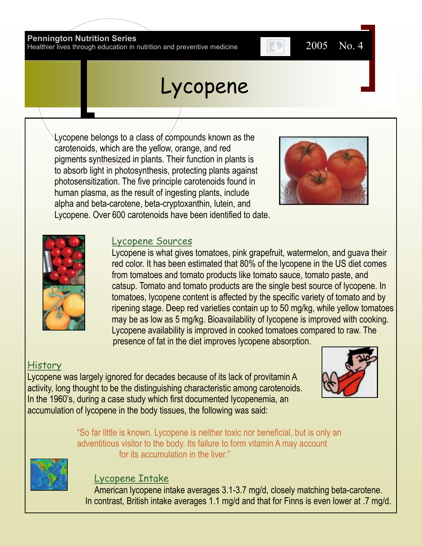#### **Pennington Nutrition Series**

Healthier lives through education in nutrition and preventive medicine 2005 No. 4

# Lycopene

Lycopene belongs to a class of compounds known as the carotenoids, which are the yellow, orange, and red pigments synthesized in plants. Their function in plants is to absorb light in photosynthesis, protecting plants against photosensitization. The five principle carotenoids found in human plasma, as the result of ingesting plants, include alpha and beta-carotene, beta-cryptoxanthin, lutein, and Lycopene. Over 600 carotenoids have been identified to date.





#### Lycopene Sources

Lycopene is what gives tomatoes, pink grapefruit, watermelon, and guava their red color. It has been estimated that 80% of the lycopene in the US diet comes from tomatoes and tomato products like tomato sauce, tomato paste, and catsup. Tomato and tomato products are the single best source of lycopene. In tomatoes, lycopene content is affected by the specific variety of tomato and by ripening stage. Deep red varieties contain up to 50 mg/kg, while yellow tomatoes may be as low as 5 mg/kg. Bioavailability of lycopene is improved with cooking. Lycopene availability is improved in cooked tomatoes compared to raw. The presence of fat in the diet improves lycopene absorption.

### History

Lycopene was largely ignored for decades because of its lack of provitamin A activity, long thought to be the distinguishing characteristic among carotenoids. In the 1960's, during a case study which first documented lycopenemia, an accumulation of lycopene in the body tissues, the following was said:



"So far little is known. Lycopene is neither toxic nor beneficial, but is only an adventitious visitor to the body. Its failure to form vitamin A may account for its accumulation in the liver."



### Lycopene Intake

American lycopene intake averages 3.1-3.7 mg/d, closely matching beta-carotene. In contrast, British intake averages 1.1 mg/d and that for Finns is even lower at .7 mg/d.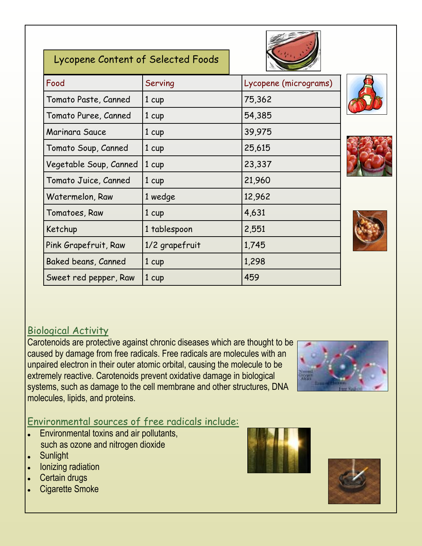| Lycopene Content of Selected Foods |                  |                       |
|------------------------------------|------------------|-----------------------|
| Food                               | Serving          | Lycopene (micrograms) |
| Tomato Paste, Canned               | 1 <sub>cup</sub> | 75,362                |
| Tomato Puree, Canned               | 1 cup            | 54,385                |
| Marinara Sauce                     | $1 \text{ cup}$  | 39,975                |
| Tomato Soup, Canned                | 1 cup            | 25,615                |
| Vegetable Soup, Canned             | 1 cup            | 23,337                |
| Tomato Juice, Canned               | $1 \ncup$        | 21,960                |
| Watermelon, Raw                    | 1 wedge          | 12,962                |
| Tomatoes, Raw                      | 1 cup            | 4,631                 |
| Ketchup                            | 1 tablespoon     | 2,551                 |
| Pink Grapefruit, Raw               | 1/2 grapefruit   | 1,745                 |
| Baked beans, Canned                | $1 \text{ cup}$  | 1,298                 |
| Sweet red pepper, Raw              | $1 \text{ cup}$  | 459                   |







# Biological Activity

Carotenoids are protective against chronic diseases which are thought to be caused by damage from free radicals. Free radicals are molecules with an unpaired electron in their outer atomic orbital, causing the molecule to be extremely reactive. Carotenoids prevent oxidative damage in biological systems, such as damage to the cell membrane and other structures, DNA molecules, lipids, and proteins.

### Environmental sources of free radicals include:

- Environmental toxins and air pollutants,  $\bullet$ such as ozone and nitrogen dioxide
- Sunlight  $\bullet$
- Ionizing radiation
- Certain drugs
- Cigarette Smoke



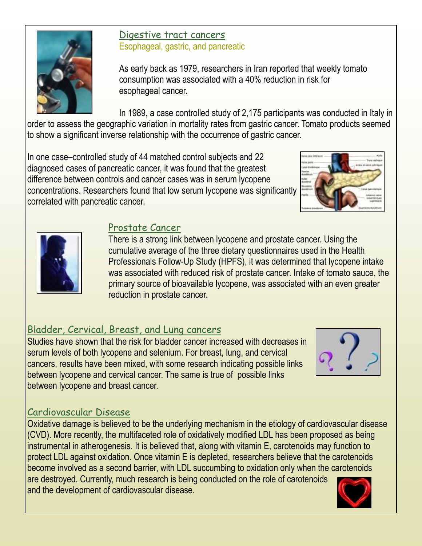

## Digestive tract cancers Esophageal, gastric, and pancreatic

As early back as 1979, researchers in Iran reported that weekly tomato consumption was associated with a 40% reduction in risk for esophageal cancer.

In 1989, a case controlled study of 2,175 participants was conducted in Italy in order to assess the geographic variation in mortality rates from gastric cancer. Tomato products seemed to show a significant inverse relationship with the occurrence of gastric cancer.

In one case–controlled study of 44 matched control subjects and 22 diagnosed cases of pancreatic cancer, it was found that the greatest difference between controls and cancer cases was in serum lycopene concentrations. Researchers found that low serum lycopene was significantly correlated with pancreatic cancer.





# Prostate Cancer

There is a strong link between lycopene and prostate cancer. Using the cumulative average of the three dietary questionnaires used in the Health Professionals Follow-Up Study (HPFS), it was determined that lycopene intake was associated with reduced risk of prostate cancer. Intake of tomato sauce, the primary source of bioavailable lycopene, was associated with an even greater reduction in prostate cancer.

# Bladder, Cervical, Breast, and Lung cancers

Studies have shown that the risk for bladder cancer increased with decreases in serum levels of both lycopene and selenium. For breast, lung, and cervical cancers, results have been mixed, with some research indicating possible links between lycopene and cervical cancer. The same is true of possible links between lycopene and breast cancer.



# Cardiovascular Disease

Oxidative damage is believed to be the underlying mechanism in the etiology of cardiovascular disease (CVD). More recently, the multifaceted role of oxidatively modified LDL has been proposed as being instrumental in atherogenesis. It is believed that, along with vitamin E, carotenoids may function to protect LDL against oxidation. Once vitamin E is depleted, researchers believe that the carotenoids become involved as a second barrier, with LDL succumbing to oxidation only when the carotenoids are destroyed. Currently, much research is being conducted on the role of carotenoids and the development of cardiovascular disease.